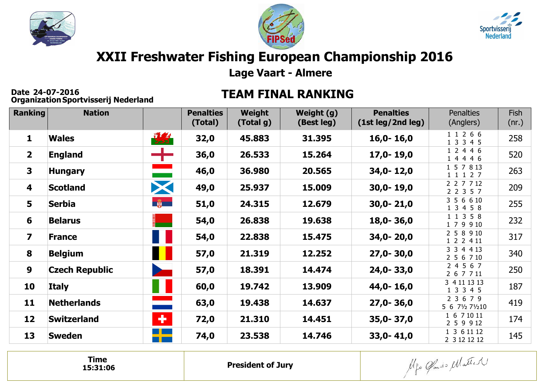





## **XXII Freshwater Fishing European Championship 2016**

**Lage Vaart - Almere**

**Date 24-07-2016 Organization**

## **Date 24-07-2016 TEAM FINAL RANKING**

| <b>Ranking</b>          | <b>Nation</b>         |                          | <b>Penalties</b><br>(Total) | Weight<br>(Total g) | Weight (g)<br>(Best leg) | <b>Penalties</b><br>(1st leg/2nd leg) | <b>Penalties</b><br>(Anglers) | Fish<br>(nr.) |
|-------------------------|-----------------------|--------------------------|-----------------------------|---------------------|--------------------------|---------------------------------------|-------------------------------|---------------|
| $\mathbf{1}$            | <b>Wales</b>          | 惠                        | 32,0                        | 45.883              | 31.395                   | $16,0 - 16,0$                         | 1 1 2 6 6<br>1 3 3 4 5        | 258           |
| 2 <sup>1</sup>          | <b>England</b>        | ┿                        | 36,0                        | 26.533              | 15.264                   | $17,0 - 19,0$                         | 1 2 4 4 6<br>1 4 4 4 6        | 520           |
| $\overline{\mathbf{3}}$ | <b>Hungary</b>        | <b>The Co</b>            | 46,0                        | 36.980              | 20.565                   | 34,0-12,0                             | 1 5 7 8 13<br>1 1 1 2 7       | 263           |
| 4                       | <b>Scotland</b>       | X                        | 49,0                        | 25.937              | 15.009                   | $30,0 - 19,0$                         | 2 2 7 7 12<br>2 2 3 5 7       | 209           |
| 5                       | <b>Serbia</b>         | <b>Executed</b>          | 51,0                        | 24.315              | 12.679                   | $30,0 - 21,0$                         | 3 5 6 6 10<br>1 3 4 5 8       | 255           |
| 6                       | <b>Belarus</b>        | ٠                        | 54,0                        | 26.838              | 19.638                   | $18,0 - 36,0$                         | 1 1 3 5 8<br>1 7 9 9 10       | 232           |
| $\overline{\mathbf{z}}$ | <b>France</b>         |                          | 54,0                        | 22.838              | 15.475                   | $34,0 - 20,0$                         | 2 5 8 9 10<br>1 2 2 4 11      | 317           |
| 8                       | <b>Belgium</b>        |                          | 57,0                        | 21.319              | 12.252                   | $27,0 - 30,0$                         | 3 3 4 4 13<br>2 5 6 7 10      | 340           |
| $\boldsymbol{9}$        | <b>Czech Republic</b> | $\overline{\phantom{a}}$ | 57,0                        | 18.391              | 14.474                   | 24,0-33,0                             | 2 4 5 6 7<br>2 6 7 7 11       | 250           |
| 10                      | <b>Italy</b>          | W                        | 60,0                        | 19.742              | 13.909                   | 44,0-16,0                             | 3 4 11 13 13<br>1 3 3 4 5     | 187           |
| 11                      | <b>Netherlands</b>    | <u>e a s</u>             | 63,0                        | 19.438              | 14.637                   | $27,0 - 36,0$                         | 2 3 6 7 9<br>5 6 71/2 71/210  | 419           |
| 12                      | <b>Switzerland</b>    | ÷                        | 72,0                        | 21.310              | 14.451                   | $35,0 - 37,0$                         | 1 6 7 10 11<br>2 5 9 9 12     | 174           |
| 13                      | <b>Sweden</b>         |                          | 74,0                        | 23.538              | 14.746                   | $33,0 - 41,0$                         | 1 3 6 11 12<br>2 3 12 12 12   | 145           |

**Time15:31:06**

**President of Jury**

Algo Cando Matter